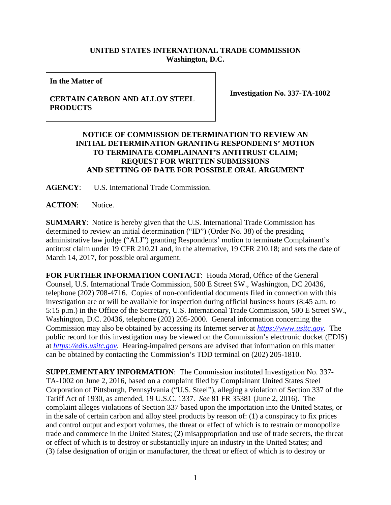## **UNITED STATES INTERNATIONAL TRADE COMMISSION Washington, D.C.**

**In the Matter of**

## **CERTAIN CARBON AND ALLOY STEEL PRODUCTS**

**Investigation No. 337-TA-1002**

## **NOTICE OF COMMISSION DETERMINATION TO REVIEW AN INITIAL DETERMINATION GRANTING RESPONDENTS' MOTION TO TERMINATE COMPLAINANT'S ANTITRUST CLAIM; REQUEST FOR WRITTEN SUBMISSIONS AND SETTING OF DATE FOR POSSIBLE ORAL ARGUMENT**

**AGENCY**: U.S. International Trade Commission.

**ACTION**: Notice.

**SUMMARY**: Notice is hereby given that the U.S. International Trade Commission has determined to review an initial determination ("ID") (Order No. 38) of the presiding administrative law judge ("ALJ") granting Respondents' motion to terminate Complainant's antitrust claim under 19 CFR 210.21 and, in the alternative, 19 CFR 210.18; and sets the date of March 14, 2017, for possible oral argument.

**FOR FURTHER INFORMATION CONTACT**: Houda Morad, Office of the General Counsel, U.S. International Trade Commission, 500 E Street SW., Washington, DC 20436, telephone (202) 708-4716. Copies of non-confidential documents filed in connection with this investigation are or will be available for inspection during official business hours (8:45 a.m. to 5:15 p.m.) in the Office of the Secretary, U.S. International Trade Commission, 500 E Street SW., Washington, D.C. 20436, telephone (202) 205-2000. General information concerning the Commission may also be obtained by accessing its Internet server at *[https://www.usitc.gov](https://www.usitc.gov/)*. The public record for this investigation may be viewed on the Commission's electronic docket (EDIS) at *[https://edis.usitc.gov](http://edis.usitc.gov/)*. Hearing-impaired persons are advised that information on this matter can be obtained by contacting the Commission's TDD terminal on (202) 205-1810.

**SUPPLEMENTARY INFORMATION**: The Commission instituted Investigation No. 337- TA-1002 on June 2, 2016, based on a complaint filed by Complainant United States Steel Corporation of Pittsburgh, Pennsylvania ("U.S. Steel"), alleging a violation of Section 337 of the Tariff Act of 1930, as amended, 19 U.S.C. 1337. *See* 81 FR 35381 (June 2, 2016). The complaint alleges violations of Section 337 based upon the importation into the United States, or in the sale of certain carbon and alloy steel products by reason of: (1) a conspiracy to fix prices and control output and export volumes, the threat or effect of which is to restrain or monopolize trade and commerce in the United States; (2) misappropriation and use of trade secrets, the threat or effect of which is to destroy or substantially injure an industry in the United States; and (3) false designation of origin or manufacturer, the threat or effect of which is to destroy or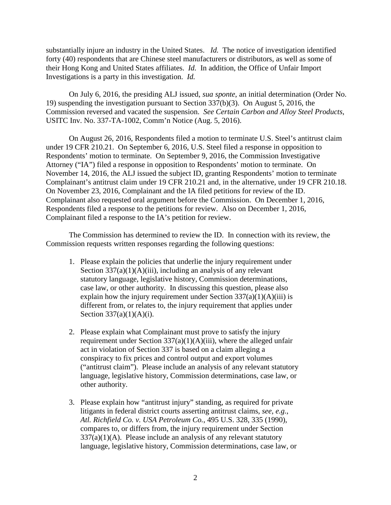substantially injure an industry in the United States. *Id.* The notice of investigation identified forty (40) respondents that are Chinese steel manufacturers or distributors, as well as some of their Hong Kong and United States affiliates. *Id.* In addition, the Office of Unfair Import Investigations is a party in this investigation. *Id.* 

On July 6, 2016, the presiding ALJ issued, *sua sponte*, an initial determination (Order No. 19) suspending the investigation pursuant to Section 337(b)(3). On August 5, 2016, the Commission reversed and vacated the suspension. *See Certain Carbon and Alloy Steel Products*, USITC Inv. No. 337-TA-1002, Comm'n Notice (Aug. 5, 2016).

On August 26, 2016, Respondents filed a motion to terminate U.S. Steel's antitrust claim under 19 CFR 210.21. On September 6, 2016, U.S. Steel filed a response in opposition to Respondents' motion to terminate. On September 9, 2016, the Commission Investigative Attorney ("IA") filed a response in opposition to Respondents' motion to terminate. On November 14, 2016, the ALJ issued the subject ID, granting Respondents' motion to terminate Complainant's antitrust claim under 19 CFR 210.21 and, in the alternative, under 19 CFR 210.18. On November 23, 2016, Complainant and the IA filed petitions for review of the ID. Complainant also requested oral argument before the Commission. On December 1, 2016, Respondents filed a response to the petitions for review. Also on December 1, 2016, Complainant filed a response to the IA's petition for review.

The Commission has determined to review the ID. In connection with its review, the Commission requests written responses regarding the following questions:

- 1. Please explain the policies that underlie the injury requirement under Section  $337(a)(1)(A)(iii)$ , including an analysis of any relevant statutory language, legislative history, Commission determinations, case law, or other authority. In discussing this question, please also explain how the injury requirement under Section  $337(a)(1)(A)(iii)$  is different from, or relates to, the injury requirement that applies under Section  $337(a)(1)(A)(i)$ .
- 2. Please explain what Complainant must prove to satisfy the injury requirement under Section  $337(a)(1)(A)(iii)$ , where the alleged unfair act in violation of Section 337 is based on a claim alleging a conspiracy to fix prices and control output and export volumes ("antitrust claim"). Please include an analysis of any relevant statutory language, legislative history, Commission determinations, case law, or other authority.
- 3. Please explain how "antitrust injury" standing, as required for private litigants in federal district courts asserting antitrust claims, *see*, *e.g.*, *Atl. Richfield Co. v. USA Petroleum Co.*, 495 U.S. 328, 335 (1990), compares to, or differs from, the injury requirement under Section  $337(a)(1)(A)$ . Please include an analysis of any relevant statutory language, legislative history, Commission determinations, case law, or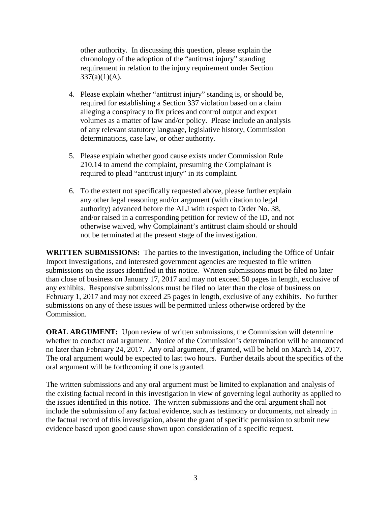other authority. In discussing this question, please explain the chronology of the adoption of the "antitrust injury" standing requirement in relation to the injury requirement under Section  $337(a)(1)(A)$ .

- 4. Please explain whether "antitrust injury" standing is, or should be, required for establishing a Section 337 violation based on a claim alleging a conspiracy to fix prices and control output and export volumes as a matter of law and/or policy. Please include an analysis of any relevant statutory language, legislative history, Commission determinations, case law, or other authority.
- 5. Please explain whether good cause exists under Commission Rule 210.14 to amend the complaint, presuming the Complainant is required to plead "antitrust injury" in its complaint.
- 6. To the extent not specifically requested above, please further explain any other legal reasoning and/or argument (with citation to legal authority) advanced before the ALJ with respect to Order No. 38, and/or raised in a corresponding petition for review of the ID, and not otherwise waived, why Complainant's antitrust claim should or should not be terminated at the present stage of the investigation.

**WRITTEN SUBMISSIONS:** The parties to the investigation, including the Office of Unfair Import Investigations, and interested government agencies are requested to file written submissions on the issues identified in this notice. Written submissions must be filed no later than close of business on January 17, 2017 and may not exceed 50 pages in length, exclusive of any exhibits. Responsive submissions must be filed no later than the close of business on February 1, 2017 and may not exceed 25 pages in length, exclusive of any exhibits. No further submissions on any of these issues will be permitted unless otherwise ordered by the Commission.

**ORAL ARGUMENT:** Upon review of written submissions, the Commission will determine whether to conduct oral argument. Notice of the Commission's determination will be announced no later than February 24, 2017. Any oral argument, if granted, will be held on March 14, 2017. The oral argument would be expected to last two hours. Further details about the specifics of the oral argument will be forthcoming if one is granted.

The written submissions and any oral argument must be limited to explanation and analysis of the existing factual record in this investigation in view of governing legal authority as applied to the issues identified in this notice. The written submissions and the oral argument shall not include the submission of any factual evidence, such as testimony or documents, not already in the factual record of this investigation, absent the grant of specific permission to submit new evidence based upon good cause shown upon consideration of a specific request.